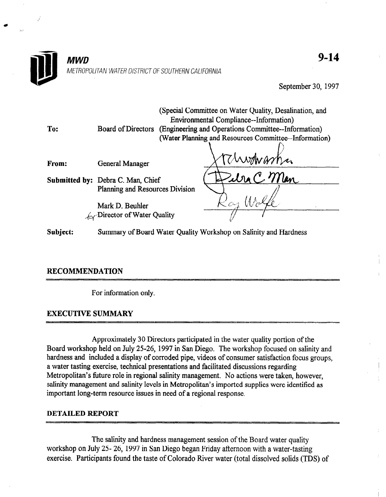

September 30, 1997

| To:      | Board of Directors                                               | (Special Committee on Water Quality, Desalination, and<br><b>Environmental Compliance--Information</b> )<br>(Engineering and Operations Committee--Information)<br>(Water Planning and Resources Committee--Information) |  |
|----------|------------------------------------------------------------------|--------------------------------------------------------------------------------------------------------------------------------------------------------------------------------------------------------------------------|--|
|          |                                                                  |                                                                                                                                                                                                                          |  |
|          |                                                                  |                                                                                                                                                                                                                          |  |
| From:    | <b>General Manager</b>                                           | masha                                                                                                                                                                                                                    |  |
|          |                                                                  |                                                                                                                                                                                                                          |  |
|          | <b>Submitted by: Debra C. Man, Chief</b>                         | Edra C Man                                                                                                                                                                                                               |  |
|          | Planning and Resources Division                                  |                                                                                                                                                                                                                          |  |
|          | Mark D. Beuhler                                                  |                                                                                                                                                                                                                          |  |
|          | $\int_{\mathcal{C}}$ Director of Water Quality                   |                                                                                                                                                                                                                          |  |
| Subiect: | Summary of Board Water Ouality Workshop on Salinity and Hardness |                                                                                                                                                                                                                          |  |

# RECOMMENDATION

For information only.

# EXECUTIVE SUMMARY

 $A=\frac{1}{2}$  Directors participated in the water quality portion of the water quality portion of the water  $\frac{1}{2}$ Approximately 30 Directors participated in the water quality portion of the Board workshop held on July 25-26, 1997 in San Diego. The workshop focused on salinity and hardness and included a display of corroded pipe, videos of consumer satisfaction focus groups, a water tasting exercise, technical presentations and facilitated discussions regarding Metropolitan's future role in regional salinity management. No actions were taken, however, salinity management and salinity levels in Metropolitan's imported supplies were identified as important long-term resource issues in need of a regional response.

### **DETAILED REPORT**

The salinity and hardness management session of the Board water quality workshop on July 25- 26, 1997 in San Diego began Friday afternoon with a water-tasting<br>exercise. Participants found the taste of Colorado River water (total dissolved solids (TDS) of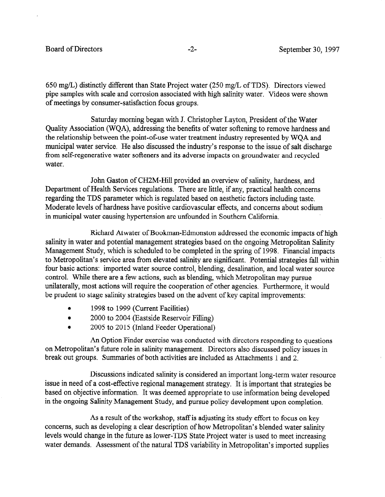650 mg/L) distinctly different than State Project water (250 mg/L of TDS). Directors viewed pipe samples with scale and corrosion associated with high salinity water. Videos were shown of meetings by consumer-satisfaction focus groups.

Saturday morning began with J. Christopher Layton, President of the Water Quality Association (WQA), addressing the benefits of water softening to remove hardness and the relationship between the point-of-use water treatment industry represented by WQA and municipal water service. He also discussed the industry's response to the issue of salt discharge from self-regenerative water softeners and its adverse impacts on groundwater and recycled water.

John Gaston of CH2M-Hill provided an overview of salinity, hardness, and Department of Health Services regulations. There are little, if any, practical health concerns regarding the TDS parameter which is regulated based on aesthetic factors including taste. Moderate levels of hardness have positive cardiovascular effects, and concerns about sodium in municipal water causing hypertension are unfounded in Southern California.

Richard Atwater of Bookman-Edmonston addressed the economic impacts of high salinity in water and potential management strategies based on the ongoing Metropolitan Salinity Management Study, which is scheduled to be completed in the spring of 1998. Financial impacts to Metropolitan's service area from elevated salinity are significant. Potential strategies fall within four basic actions: imported water source control, blending, desalination, and local water source control. While there are a few actions, such as blending, which Metropolitan may pursue unilaterally, most actions will require the cooperation of other agencies. Furthermore, it would be prudent to stage salinity strategies based on the advent of key capital improvements:

- <sup>l</sup>1998 to 1999 (Current Facilities)
- 2000 to 2004 (Eastside Reservoir Filling)
- 2005 to 2015 (Inland Feeder Operational)

An Option Finder exercise was conducted with directors responding to questions on Metropolitan's future role in salinity management. Directors also discussed policy issues in break out groups. Summaries of both activities are included as Attachments 1 and 2.

Discussions indicated salinity is considered an important long-term water resource issue in need of a cost-effective regional management strategy. It is important that strategies be based on objective information. It was deemed appropriate to use information being developed in the ongoing Salinity Management Study, and pursue policy development upon completion.

As a result of the workshop, staff is adjusting its study effort to focus on key concerns, such as developing a clear description of how Metropolitan's blended water salinity levels would change in the future as lower-TDS State Project water is used to meet increasing water demands. Assessment of the natural TDS variability in Metropolitan's imported supplies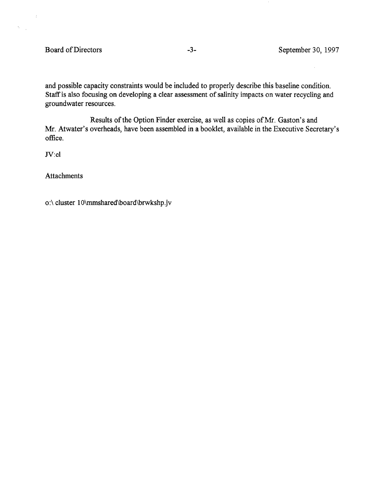$\mathbb{R}^2$ 

 $\mathcal{S}^{(1)}_{\text{max}}$ 

and possible capacity constraints would be included to properly describe this baseline condition. Staff is also focusing on developing a clear assessment of salinity impacts on water recycling and groundwater resources.

Results of the Option Finder exercise, as well as copies of Mr. Gaston's and Mr. Atwater's overheads, have been assembled in a booklet, available in the Executive Secretary's office.

Jv:cl

**Attachments** 

o:\ cluster lO\mmshared\board\brwkshp.jv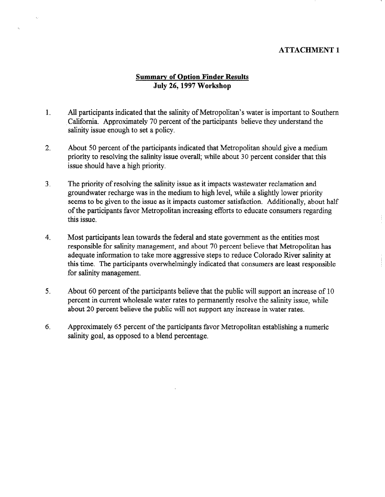### ATTACHMENT 1

# Summary of Option Finder Results July 26,1997 Workshop

- 1. All participants indicated that the salinity of Metropolitan's water is important to Southern California. Approximately 70 percent of the participants believe they understand the salinity issue enough to set a policy.
- 2. About 50 percent of the participants indicated that Metropolitan should give a medium priority to resolving the salinity issue overall; while about 30 percent consider that this issue should have a high priority.
- 3. The priority of resolving the salinity issue as it impacts wastewater reclamation and groundwater recharge was in the medium to high level, while a slightly lower priority seems to be given to the issue as it impacts customer satisfaction. Additionally, about half of the participants favor Metropolitan increasing efforts to educate consumers regarding this issue.
- 4. Most participants lean towards the federal and state government as the entities most responsible for salinity management, and about 70 percent believe that Metropolitan has adequate information to take more aggressive steps to reduce Colorado River salinity at this time. The participants overwhelmingly indicated that consumers are least responsible for salinity management.
- 5. About 60 percent of the participants believe that the public will support an increase of 10 percent in current wholesale water rates to permanently resolve the salinity issue, while about 20 percent believe the public will not support any increase in water rates.
- 6. Approximately 65 percent of the participants favor Metropolitan establishing a numeric salinity goal, as opposed to a blend percentage.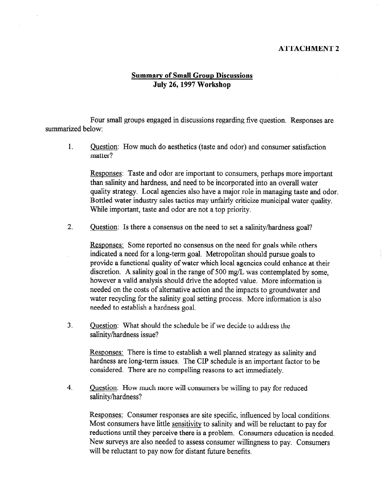#### ATTACHMENT 2

## Summary of Small Group Discussions July 26,1997 Workshop

Four small groups engaged in discussions regarding five question. Responses are summarized below:

1. Question: How much do aesthetics (taste and odor) and consumer satisfaction matter?

Responses: Taste and odor are important to consumers, perhaps more important than salinity and hardness, and need to be incorporated into an overall water quality strategy. Local agencies also have a major role in managing taste and odor. Bottled water industry sales tactics may unfairly criticize municipal water quality. While important, taste and odor are not a top priority.

2. Question: Is there a consensus on the need to set a salinity/hardness goal?

Responses: Some reported no consensus on the need for goals while others indicated a need for a long-term goal. Metropolitan should pursue goals to provide a functional quality of water which local agencies could enhance at their discretion. A salinity goal in the range of 500 mg/L was contemplated by some, however a valid analysis should drive the adopted value. More information is needed on the costs of alternative action and the impacts to groundwater and water recycling for the salinity goal setting process. More information is also needed to establish a hardness goal.

3. Question: What should the schedule be if we decide to address the salinity/hardness issue?

Responses: There is time to establish a well planned strategy as salinity and hardness are long-term issues. The CIP schedule is an important factor to be considered. There are no compelling reasons to act immediately.

4. Question: How much more will consumers be willing to pay for reduced salinity/hardness?

Responses: Consumer responses are site specific, influenced by local conditions, Most consumers have little sensitivity to salinity and will be reluctant to pay for reductions until they perceive there is a problem. Consumers education is needed. New surveys are also needed to assess consumer willingness to pay. Consumers will be reluctant to pay now for distant future benefits.